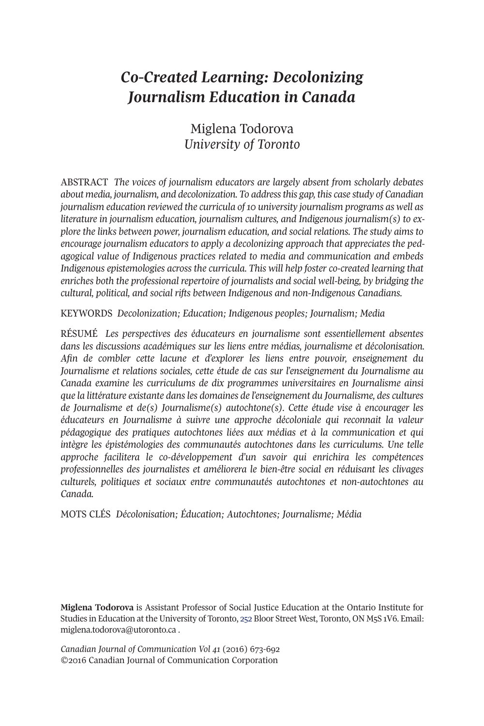# *Co-Created Learning: Decolonizing Journalism Education in Canada*

Miglena Todorova *University of Toronto*

ABSTRACT *The voices of journalism educators are largely absent from scholarly debates about media, journalism, and decolonization. To addressthis gap, this case study of Canadian journalism education reviewed the curricula of 10 university journalism programs as well as literature in journalism education, journalism cultures, and Indigenous journalism(s) to explore the links between power, journalism education, and social relations. The study aims to encourage journalism educators to apply a decolonizing approach that appreciates the pedagogical value of Indigenous practices related to media and communication and embeds Indigenous epistemologies across the curricula. This will help foster co-created learning that enriches both the professional repertoire of journalists and social well-being, by bridging the cultural, political, and social rifts between Indigenous and non-Indigenous Canadians.*

KEYWORDS *Decolonization; Education; Indigenous peoples; Journalism; Media*

RÉSUMÉ *Les perspectives des éducateurs en journalisme sont essentiellement absentes dans les discussions académiques sur les liens entre médias, journalisme et décolonisation. Afin de combler cette lacune et d'explorer les liens entre pouvoir, enseignement du Journalisme et relations sociales, cette étude de cas sur l'enseignement du Journalisme au Canada examine les curriculums de dix programmes universitaires en Journalisme ainsi que la littérature existante dansles domaines de l'enseignement du Journalisme, des cultures de Journalisme et de(s) Journalisme(s) autochtone(s). Cette étude vise à encourager les éducateurs en Journalisme à suivre une approche décoloniale qui reconnait la valeur pédagogique des pratiques autochtones liées aux médias et à la communication et qui intègre les épistémologies des communautés autochtones dans les curriculums. Une telle approche facilitera le co-développement d'un savoir qui enrichira les compétences professionnelles des journalistes et améliorera le bien-être social en réduisant les clivages culturels, politiques et sociaux entre communautés autochtones et non-autochtones au Canada.*

MOTS CLÉS *Décolonisation; Éducation; Autochtones; Journalisme; Média*

**Miglena Todorova** is Assistant Professor of Social Justice Education at the Ontario Institute for Studies in Education at the University of Toronto, 252 Bloor Street West, Toronto, ON M5S 1V6. Email: [miglena.todorova@utoronto.ca](mailto:miglena.todorova@utoronto.ca) .

*Canadian Journal of [Communication](http://www.cjc-online.ca) Vol 41* (2016) 673-692 ©2016 Canadian Journal of Communication Corporation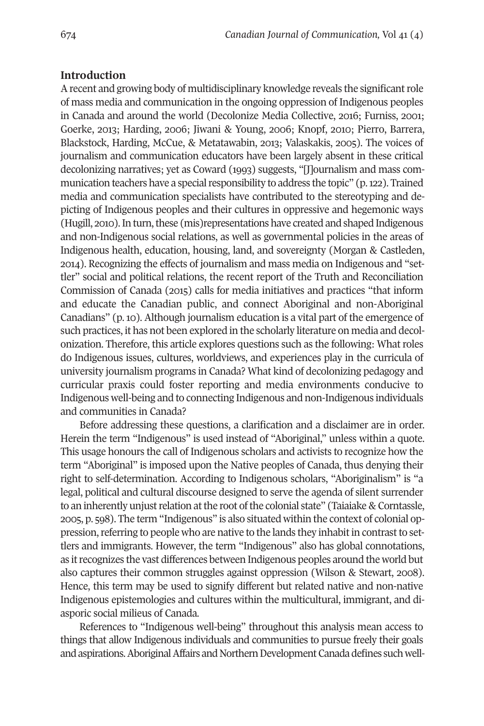## **Introduction**

Arecent and growing body of multidisciplinary knowledge reveals the significantrole of mass media and communication in the ongoing oppression of Indigenous peoples in Canada and around the world (Decolonize Media Collective, 2016; Furniss, 2001; Goerke, 2013; Harding, 2006; Jiwani & Young, 2006; Knopf, 2010; Pierro, Barrera, Blackstock, Harding, McCue, & Metatawabin, 2013; Valaskakis, 2005). The voices of journalism and communication educators have been largely absent in these critical decolonizing narratives; yet as Coward (1993) suggests, "[J]ournalism and mass communication teachers have a special responsibility to address the topic" (p. 122). Trained media and communication specialists have contributed to the stereotyping and depicting of Indigenous peoples and their cultures in oppressive and hegemonic ways (Hugill, 2010). In turn, these (mis)representations have created and shaped Indigenous and non-Indigenous social relations, as well as governmental policies in the areas of Indigenous health, education, housing, land, and sovereignty (Morgan & Castleden, 2014). Recognizing the effects of journalism and mass media on Indigenous and "settler" social and political relations, the recent report of the Truth and Reconciliation Commission of Canada (2015) calls for media initiatives and practices "that inform and educate the Canadian public, and connect Aboriginal and non-Aboriginal Canadians" (p. 10). Although journalism education is a vital part of the emergence of such practices, it has not been explored in the scholarly literature on media and decolonization. Therefore, this article explores questions such as the following: What roles do Indigenous issues, cultures, worldviews, and experiences play in the curricula of university journalism programs in Canada? What kind of decolonizing pedagogy and curricular praxis could foster reporting and media environments conducive to Indigenous well-being and to connecting Indigenous and non-Indigenous individuals and communities in Canada?

Before addressing these questions, a clarification and a disclaimer are in order. Herein the term "Indigenous" is used instead of "Aboriginal," unless within a quote. This usage honours the call of Indigenous scholars and activists to recognize how the term "Aboriginal" is imposed upon the Native peoples of Canada, thus denying their right to self-determination. According to Indigenous scholars, "Aboriginalism" is "a legal, political and cultural discourse designed to serve the agenda of silent surrender to an inherently unjust relation at the root of the colonial state" (Taiaiake & Corntassle, 2005, p. 598). The term "Indigenous" is also situated within the context of colonial oppression, referring to people who are native to the lands they inhabit in contrast to settlers and immigrants. However, the term "Indigenous" also has global connotations, as itrecognizes the vast differences between Indigenous peoples around the world but also captures their common struggles against oppression (Wilson & Stewart, 2008). Hence, this term may be used to signify different but related native and non-native Indigenous epistemologies and cultures within the multicultural, immigrant, and diasporic social milieus of Canada.

References to "Indigenous well-being" throughout this analysis mean access to things that allow Indigenous individuals and communities to pursue freely their goals and aspirations. Aboriginal Affairs and Northern Development Canada defines such well-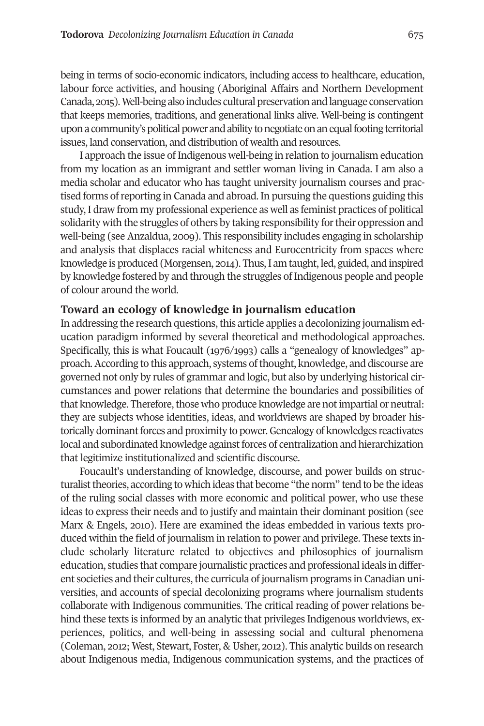being in terms of socio-economic indicators, including access to healthcare, education, labour force activities, and housing (Aboriginal Affairs and Northern Development Canada, 2015).Well-being also includes cultural preservationand language conservation that keeps memories, traditions, and generational links alive. Well-being is contingent upon a community's political power and ability to negotiate on an equal footing territorial issues, land conservation, and distribution of wealth and resources.

I approach the issue of Indigenous well-being in relation to journalism education from my location as an immigrant and settler woman living in Canada. I am also a media scholar and educator who has taught university journalism courses and practised forms ofreporting in Canada and abroad. In pursuing the questions guiding this study, I draw from my professional experience as well as feminist practices of political solidarity with the struggles of others by taking responsibility for their oppression and well-being (see Anzaldua, 2009). This responsibility includes engaging in scholarship and analysis that displaces racial whiteness and Eurocentricity from spaces where knowledge is produced (Morgensen, 2014). Thus,I am taught, led, guided, and inspired by knowledge fostered by and through the struggles of Indigenous people and people of colour around the world.

#### **Toward an ecology of knowledge in journalism education**

In addressing the research questions, this article applies a decolonizing journalism education paradigm informed by several theoretical and methodological approaches. Specifically, this is what Foucault (1976/1993) calls a "genealogy of knowledges" approach. According to this approach, systems of thought, knowledge, and discourse are governed not only by rules of grammar and logic, but also by underlying historical circumstances and power relations that determine the boundaries and possibilities of that knowledge. Therefore, those who produce knowledge are not impartial or neutral: they are subjects whose identities, ideas, and worldviews are shaped by broader historically dominant forces and proximity to power. Genealogy of knowledges reactivates local and subordinated knowledge against forces of centralization and hierarchization that legitimize institutionalized and scientific discourse.

Foucault's understanding of knowledge, discourse, and power builds on structuralist theories, according to which ideas that become "the norm" tend to be the ideas of the ruling social classes with more economic and political power, who use these ideas to express their needs and to justify and maintain their dominant position (see Marx & Engels, 2010). Here are examined the ideas embedded in various texts produced within the field of journalism in relation to power and privilege. These texts include scholarly literature related to objectives and philosophies of journalism education, studies that compare journalistic practices and professional ideals in different societies and their cultures, the curricula of journalism programs in Canadian universities, and accounts of special decolonizing programs where journalism students collaborate with Indigenous communities. The critical reading of power relations behind these texts is informed by an analytic that privileges Indigenous worldviews, experiences, politics, and well-being in assessing social and cultural phenomena (Coleman, 2012; West, Stewart, Foster, & Usher, 2012). This analytic builds on research about Indigenous media, Indigenous communication systems, and the practices of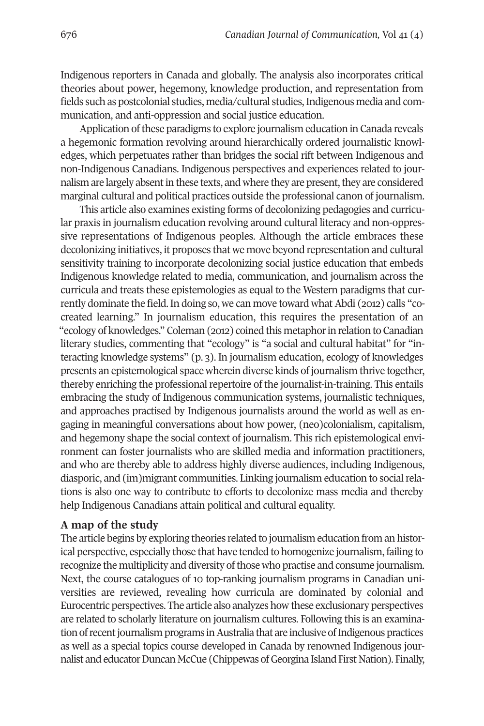Indigenous reporters in Canada and globally. The analysis also incorporates critical theories about power, hegemony, knowledge production, and representation from fields such as postcolonial studies, media/cultural studies, Indigenous media and communication, and anti-oppression and social justice education.

Application of these paradigms to explore journalism education in Canada reveals a hegemonic formation revolving around hierarchically ordered journalistic knowledges, which perpetuates rather than bridges the social rift between Indigenous and non-Indigenous Canadians. Indigenous perspectives and experiences related to journalism are largely absent in these texts, and where they are present, they are considered marginal cultural and political practices outside the professional canon of journalism.

This article also examines existing forms of decolonizing pedagogies and curricular praxis in journalism education revolving around cultural literacy and non-oppressive representations of Indigenous peoples. Although the article embraces these decolonizing initiatives, it proposes that we move beyond representation and cultural sensitivity training to incorporate decolonizing social justice education that embeds Indigenous knowledge related to media, communication, and journalism across the curricula and treats these epistemologies as equal to the Western paradigms that currently dominate the field. In doing so, we can move toward what Abdi (2012) calls "cocreated learning." In journalism education, this requires the presentation of an "ecology of knowledges." Coleman (2012) coined this metaphor in relation to Canadian literary studies, commenting that "ecology" is "a social and cultural habitat" for "interacting knowledge systems" (p. 3). In journalism education, ecology of knowledges presents an epistemological space wherein diverse kinds of journalism thrive together, thereby enriching the professional repertoire of the journalist-in-training. This entails embracing the study of Indigenous communication systems, journalistic techniques, and approaches practised by Indigenous journalists around the world as well as engaging in meaningful conversations about how power, (neo)colonialism, capitalism, and hegemony shape the social context of journalism. This rich epistemological environment can foster journalists who are skilled media and information practitioners, and who are thereby able to address highly diverse audiences, including Indigenous, diasporic, and (im)migrant communities. Linking journalism education to socialrelations is also one way to contribute to efforts to decolonize mass media and thereby help Indigenous Canadians attain political and cultural equality.

#### **A map of the study**

The article begins by exploring theories related to journalism education from an historical perspective, especially those that have tended to homogenize journalism, failing to recognize the multiplicity and diversity ofthose who practise and consume journalism. Next, the course catalogues of 10 top-ranking journalism programs in Canadian universities are reviewed, revealing how curricula are dominated by colonial and Eurocentric perspectives. The article also analyzes how these exclusionary perspectives are related to scholarly literature on journalism cultures. Following this is an examination of recent journalism programs in Australia that are inclusive of Indigenous practices as well as a special topics course developed in Canada by renowned Indigenous journalist and educator Duncan McCue (Chippewas of Georgina Island First Nation). Finally,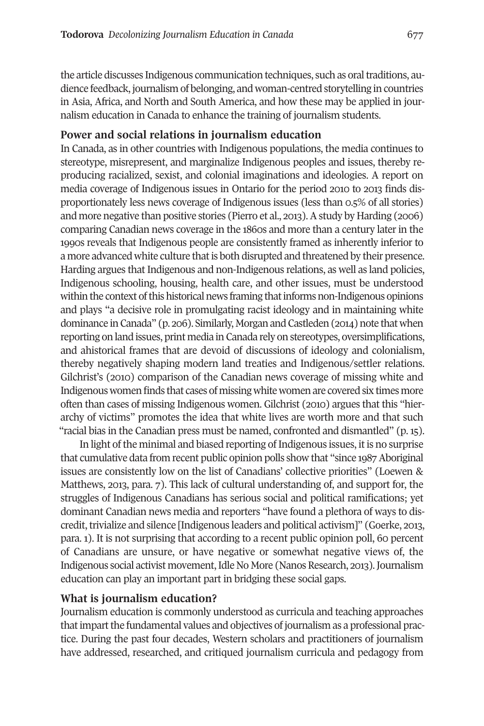the article discusses Indigenous communication techniques, such as oral traditions, audience feedback, journalism of belonging, and woman-centred storytelling in countries in Asia, Africa, and North and South America, and how these may be applied in journalism education in Canada to enhance the training of journalism students.

## **Power and social relations in journalism education**

In Canada, as in other countries with Indigenous populations, the media continues to stereotype, misrepresent, and marginalize Indigenous peoples and issues, thereby reproducing racialized, sexist, and colonial imaginations and ideologies. A report on media coverage of Indigenous issues in Ontario for the period 2010 to 2013 finds disproportionately less news coverage of Indigenous issues (less than 0.5% of all stories) and more negative than positive stories (Pierro et al., 2013). A study by Harding (2006) comparing Canadian news coverage in the 1860s and more than a century later in the 1990s reveals that Indigenous people are consistently framed as inherently inferior to a more advanced white culture thatis both disrupted and threatened by their presence. Harding argues that Indigenous and non-Indigenous relations, as well as land policies, Indigenous schooling, housing, health care, and other issues, must be understood within the context of this historical news framing that informs non-Indigenous opinions and plays "a decisive role in promulgating racist ideology and in maintaining white dominance in Canada" (p. 206). Similarly, Morgan and Castleden (2014) note that when reporting on land issues, print media inCanada rely on stereotypes, oversimplifications, and ahistorical frames that are devoid of discussions of ideology and colonialism, thereby negatively shaping modern land treaties and Indigenous/settler relations. Gilchrist's (2010) comparison of the Canadian news coverage of missing white and Indigenous women finds that cases of missing white women are covered six times more often than cases of missing Indigenous women. Gilchrist (2010) argues that this "hierarchy of victims" promotes the idea that white lives are worth more and that such "racial bias in the Canadian press must be named, confronted and dismantled" (p. 15).

In light of the minimal and biased reporting of Indigenous issues, it is no surprise that cumulative data from recent public opinion polls show that "since 1987Aboriginal issues are consistently low on the list of Canadians' collective priorities" (Loewen & Matthews, 2013, para. 7). This lack of cultural understanding of, and support for, the struggles of Indigenous Canadians has serious social and political ramifications; yet dominant Canadian news media and reporters "have found a plethora of ways to discredit, trivialize and silence [Indigenous leaders and political activism]" (Goerke, 2013, para. 1). It is not surprising that according to a recent public opinion poll, 60 percent of Canadians are unsure, or have negative or somewhat negative views of, the Indigenous social activist movement, Idle No More (Nanos Research, 2013). Journalism education can play an important part in bridging these social gaps.

# **What is journalism education?**

Journalism education is commonly understood as curricula and teaching approaches that impart the fundamental values and objectives of journalism as a professional practice. During the past four decades, Western scholars and practitioners of journalism have addressed, researched, and critiqued journalism curricula and pedagogy from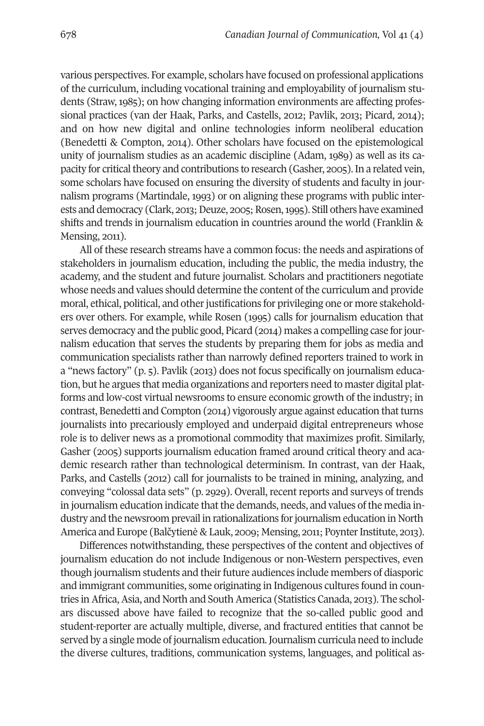various perspectives. For example, scholars have focused on professional applications of the curriculum, including vocational training and employability of journalism students (Straw, 1985); on how changing information environments are affecting professional practices (van der Haak, Parks, and Castells, 2012; Pavlik, 2013; Picard, 2014); and on how new digital and online technologies inform neoliberal education (Benedetti & Compton, 2014). Other scholars have focused on the epistemological unity of journalism studies as an academic discipline (Adam, 1989) as well as its capacity for critical theory and contributions to research (Gasher, 2005). In a related vein, some scholars have focused on ensuring the diversity of students and faculty in journalism programs (Martindale, 1993) or on aligning these programs with public interests and democracy (Clark, 2013; Deuze, 2005; Rosen, 1995). Still others have examined shifts and trends in journalism education in countries around the world (Franklin & Mensing, 2011).

All of these research streams have a common focus: the needs and aspirations of stakeholders in journalism education, including the public, the media industry, the academy, and the student and future journalist. Scholars and practitioners negotiate whose needs and values should determine the content of the curriculum and provide moral, ethical, political, and other justifications for privileging one or more stakeholders over others. For example, while Rosen (1995) calls for journalism education that serves democracy and the public good, Picard (2014) makes a compelling case forjournalism education that serves the students by preparing them for jobs as media and communication specialists rather than narrowly defined reporters trained to work in a "news factory" (p. 5). Pavlik (2013) does not focus specifically on journalism education, but he argues that media organizations and reporters need to master digital platforms and low-cost virtual newsrooms to ensure economic growth of the industry; in contrast, Benedetti and Compton (2014) vigorously argue against education thatturns journalists into precariously employed and underpaid digital entrepreneurs whose role is to deliver news as a promotional commodity that maximizes profit. Similarly, Gasher (2005) supports journalism education framed around critical theory and academic research rather than technological determinism. In contrast, van der Haak, Parks, and Castells (2012) call for journalists to be trained in mining, analyzing, and conveying "colossal data sets" (p. 2929). Overall, recent reports and surveys of trends in journalism education indicate that the demands, needs, and values of the media industry and the newsroom prevail in rationalizations forjournalism education in North America and Europe (Balčytienė & Lauk, 2009; Mensing, 2011; Poynter Institute, 2013).

Differences notwithstanding, these perspectives of the content and objectives of journalism education do not include Indigenous or non-Western perspectives, even though journalism students and their future audiences include members of diasporic and immigrant communities, some originating in Indigenous cultures found in countries inAfrica,Asia, and North and SouthAmerica (Statistics Canada, 2013). The scholars discussed above have failed to recognize that the so-called public good and student-reporter are actually multiple, diverse, and fractured entities that cannot be served by a single mode of journalism education.Journalism curricula need to include the diverse cultures, traditions, communication systems, languages, and political as-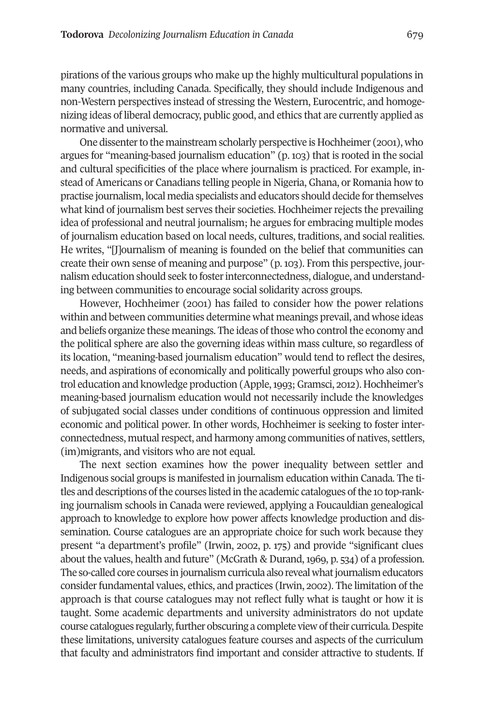pirations of the various groups who make up the highly multicultural populations in many countries, including Canada. Specifically, they should include Indigenous and non-Western perspectives instead of stressing the Western, Eurocentric, and homogenizing ideas of liberal democracy, public good, and ethics that are currently applied as normative and universal.

One dissenter to the mainstream scholarly perspective is Hochheimer (2001), who argues for "meaning-based journalism education" (p. 103) that is rooted in the social and cultural specificities of the place where journalism is practiced. For example, instead of Americans or Canadians telling people in Nigeria, Ghana, or Romania how to practise journalism, local media specialists and educators should decide forthemselves what kind of journalism best serves their societies. Hochheimer rejects the prevailing idea of professional and neutral journalism; he argues for embracing multiple modes of journalism education based on local needs, cultures, traditions, and social realities. He writes, "[J]ournalism of meaning is founded on the belief that communities can create their own sense of meaning and purpose" (p. 103). From this perspective, journalism education should seek to fosterinterconnectedness, dialogue, and understanding between communities to encourage social solidarity across groups.

However, Hochheimer (2001) has failed to consider how the power relations within and between communities determine what meanings prevail, and whose ideas and beliefs organize these meanings. The ideas of those who control the economy and the political sphere are also the governing ideas within mass culture, so regardless of its location, "meaning-based journalism education" would tend to reflect the desires, needs, and aspirations of economically and politically powerful groups who also control education and knowledge production (Apple, 1993; Gramsci, 2012). Hochheimer's meaning-based journalism education would not necessarily include the knowledges of subjugated social classes under conditions of continuous oppression and limited economic and political power. In other words, Hochheimer is seeking to foster interconnectedness, mutual respect, and harmony among communities of natives, settlers, (im)migrants, and visitors who are not equal.

The next section examines how the power inequality between settler and Indigenous social groups is manifested in journalism education within Canada. The titles and descriptions of the courses listed in the academic catalogues of the 10 top-ranking journalism schools in Canada were reviewed, applying a Foucauldian genealogical approach to knowledge to explore how power affects knowledge production and dissemination. Course catalogues are an appropriate choice for such work because they present "a department's profile" (Irwin, 2002, p. 175) and provide "significant clues about the values, health and future" (McGrath & Durand,1969, p. 534) of a profession. The so-called core courses injournalism curricula also revealwhatjournalism educators consider fundamental values, ethics, and practices (Irwin, 2002). The limitation of the approach is that course catalogues may not reflect fully what is taught or how it is taught. Some academic departments and university administrators do not update course catalogues regularly, further obscuring a complete view of their curricula. Despite these limitations, university catalogues feature courses and aspects of the curriculum that faculty and administrators find important and consider attractive to students. If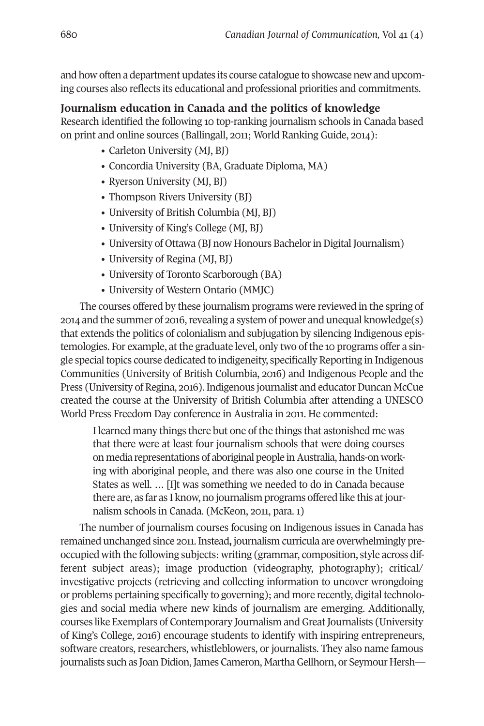and how often a department updates its course catalogue to showcase new and upcoming courses also reflects its educational and professional priorities and commitments.

# **Journalism education in Canada and the politics of knowledge**

Research identified the following 10 top-ranking journalism schools in Canada based on print and online sources (Ballingall, 2011; World Ranking Guide, 2014):

- Carleton University (MJ, BJ)
- Concordia University (BA, Graduate Diploma, MA)
- Ryerson University (MJ, BJ)
- Thompson Rivers University (BJ)
- University of British Columbia (MJ, BJ)
- University of King's College (MJ, BJ)
- University of Ottawa (BJ now Honours Bachelor in Digital Journalism)
- University of Regina (MJ, BJ)
- University of Toronto Scarborough (BA)
- University of Western Ontario (MMJC)

The courses offered by these journalism programs were reviewed in the spring of  $2014$  and the summer of  $2016$ , revealing a system of power and unequal knowledge(s) that extends the politics of colonialism and subjugation by silencing Indigenous epistemologies. For example, at the graduate level, only two of the 10 programs offer a single special topics course dedicated to indigeneity, specifically Reporting in Indigenous Communities (University of British Columbia, 2016) and Indigenous People and the Press (University of Regina, 2016). Indigenous journalist and educator Duncan McCue created the course at the University of British Columbia after attending a UNESCO World Press Freedom Day conference in Australia in 2011. He commented:

I learned many things there but one of the things that astonished me was that there were at least four journalism schools that were doing courses on media representations of aboriginal people in Australia, hands-on working with aboriginal people, and there was also one course in the United States as well. … [I]t was something we needed to do in Canada because there are, as far as I know, no journalism programs offered like this atjournalism schools in Canada. (McKeon, 2011, para. 1)

The number of journalism courses focusing on Indigenous issues in Canada has remained unchanged since 2011.Instead**,** journalism curricula are overwhelmingly preoccupied with the following subjects: writing (grammar, composition, style across different subject areas); image production (videography, photography); critical/ investigative projects (retrieving and collecting information to uncover wrongdoing or problems pertaining specifically to governing); and more recently, digital technologies and social media where new kinds of journalism are emerging. Additionally, courses like Exemplars of Contemporary Journalism and Great Journalists (University of King's College, 2016) encourage students to identify with inspiring entrepreneurs, software creators, researchers, whistleblowers, or journalists. They also name famous journalists such as Joan Didion, James Cameron, Martha Gellhorn, or Seymour Hersh—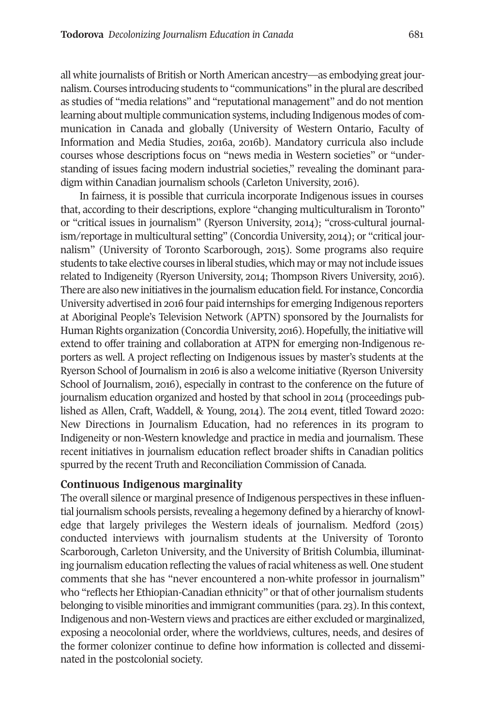all white journalists of British or North American ancestry—as embodying great journalism. Courses introducing students to "communications" in the plural are described as studies of "media relations" and "reputational management" and do not mention learning about multiple communication systems, including Indigenous modes of communication in Canada and globally (University of Western Ontario, Faculty of Information and Media Studies, 2016a, 2016b). Mandatory curricula also include courses whose descriptions focus on "news media in Western societies" or "understanding of issues facing modern industrial societies," revealing the dominant paradigm within Canadian journalism schools (Carleton University, 2016).

In fairness, it is possible that curricula incorporate Indigenous issues in courses that, according to their descriptions, explore "changing multiculturalism in Toronto" or "critical issues in journalism" (Ryerson University, 2014); "cross-cultural journalism/reportage in multicultural setting" (Concordia University, 2014); or "critical journalism" (University of Toronto Scarborough, 2015). Some programs also require students to take elective courses in liberal studies, which may or may notinclude issues related to Indigeneity (Ryerson University, 2014; Thompson Rivers University, 2016). There are also new initiatives in the journalism education field. For instance, Concordia University advertised in 2016 four paid internships for emerging Indigenous reporters at Aboriginal People's Television Network (APTN) sponsored by the Journalists for Human Rights organization (Concordia University, 2016). Hopefully, the initiative will extend to offer training and collaboration at ATPN for emerging non-Indigenous reporters as well. A project reflecting on Indigenous issues by master's students at the Ryerson School of Journalism in 2016 is also a welcome initiative (Ryerson University School of Journalism, 2016), especially in contrast to the conference on the future of journalism education organized and hosted by that school in 2014 (proceedings published as Allen, Craft, Waddell, & Young, 2014). The 2014 event, titled Toward 2020: New Directions in Journalism Education, had no references in its program to Indigeneity or non-Western knowledge and practice in media and journalism. These recent initiatives in journalism education reflect broader shifts in Canadian politics spurred by the recent Truth and Reconciliation Commission of Canada.

## **Continuous Indigenous marginality**

The overall silence or marginal presence of Indigenous perspectives in these influential journalism schools persists, revealing a hegemony defined by a hierarchy of knowledge that largely privileges the Western ideals of journalism. Medford (2015) conducted interviews with journalism students at the University of Toronto Scarborough, Carleton University, and the University of British Columbia, illuminating journalism education reflecting the values ofracial whiteness as well. One student comments that she has "never encountered a non-white professor in journalism" who "reflects her Ethiopian-Canadian ethnicity" or that of other journalism students belonging to visible minorities and immigrant communities (para. 23). In this context, Indigenous and non-Western views and practices are either excluded or marginalized, exposing a neocolonial order, where the worldviews, cultures, needs, and desires of the former colonizer continue to define how information is collected and disseminated in the postcolonial society.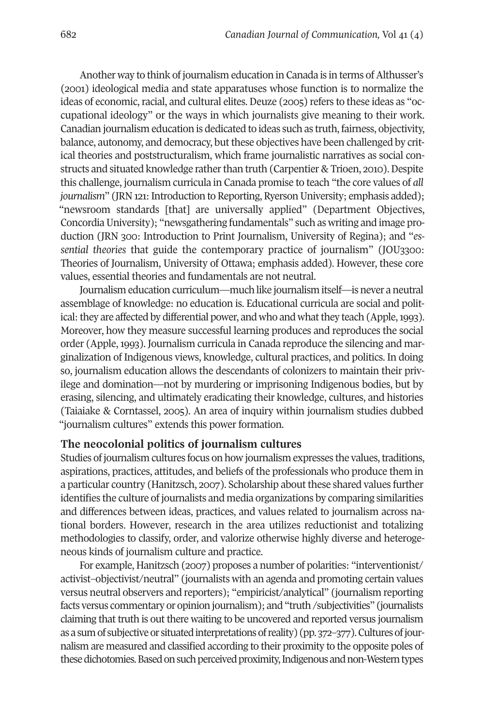Another way to think of journalism education in Canada is in terms of Althusser's (2001) ideological media and state apparatuses whose function is to normalize the ideas of economic, racial, and cultural elites. Deuze (2005) refers to these ideas as "occupational ideology" or the ways in which journalists give meaning to their work. Canadian journalism education is dedicated to ideas such as truth, fairness, objectivity, balance, autonomy, and democracy, but these objectives have been challenged by critical theories and poststructuralism, which frame journalistic narratives as social constructs and situated knowledge rather than truth (Carpentier & Trioen, 2010). Despite this challenge, journalism curricula in Canada promise to teach "the core values of *all journalism*" (JRN 121: Introduction to Reporting, Ryerson University; emphasis added); "newsroom standards [that] are universally applied" (Department Objectives, ConcordiaUniversity); "newsgathering fundamentals" such as writing and image production (JRN 300: Introduction to Print Journalism, University of Regina); and "*essential theories* that guide the contemporary practice of journalism" (JOU3300: Theories of Journalism, University of Ottawa; emphasis added). However, these core values, essential theories and fundamentals are not neutral.

Journalism education curriculum—much like journalism itself—is never a neutral assemblage of knowledge: no education is. Educational curricula are social and political: they are affected by differential power, and who and what they teach (Apple, 1993). Moreover, how they measure successful learning produces and reproduces the social order (Apple,1993). Journalism curricula in Canada reproduce the silencing and marginalization of Indigenous views, knowledge, cultural practices, and politics. In doing so, journalism education allows the descendants of colonizers to maintain their privilege and domination—not by murdering or imprisoning Indigenous bodies, but by erasing, silencing, and ultimately eradicating their knowledge, cultures, and histories (Taiaiake & Corntassel, 2005). An area of inquiry within journalism studies dubbed "journalism cultures" extends this power formation.

## **The neocolonial politics of journalism cultures**

Studies of journalism cultures focus on how journalism expresses the values, traditions, aspirations, practices, attitudes, and beliefs of the professionals who produce them in a particular country (Hanitzsch, 2007). Scholarship about these shared values further identifies the culture of journalists and media organizations by comparing similarities and differences between ideas, practices, and values related to journalism across national borders. However, research in the area utilizes reductionist and totalizing methodologies to classify, order, and valorize otherwise highly diverse and heterogeneous kinds of journalism culture and practice.

For example, Hanitzsch (2007) proposes a number of polarities: "interventionist/ activist–objectivist/neutral" (journalists with an agenda and promoting certain values versus neutral observers and reporters); "empiricist/analytical" (journalism reporting facts versus commentary or opinion journalism); and "truth /subjectivities" (journalists claiming that truth is out there waiting to be uncovered and reported versus journalism as a sum of subjective or situated interpretations of reality) (pp. 372–377). Cultures of journalism are measured and classified according to their proximity to the opposite poles of these dichotomies. Based on such perceived proximity, Indigenous and non-Western types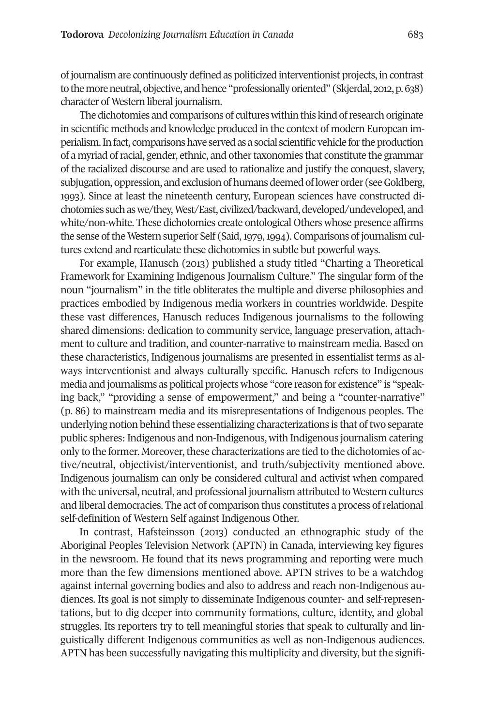of journalism are continuously defined as politicized interventionist projects, in contrast to the more neutral, objective, and hence "professionally oriented" (Skjerdal, 2012, p. 638) character of Western liberal journalism.

The dichotomies and comparisons of cultures within this kind of research originate in scientific methods and knowledge produced in the context of modern European imperialism. In fact, comparisons have served as a social scientific vehicle for the production of a myriad ofracial, gender, ethnic, and othertaxonomies that constitute the grammar of the racialized discourse and are used to rationalize and justify the conquest, slavery, subjugation, oppression, and exclusion of humans deemed of lower order (see Goldberg, 1993). Since at least the nineteenth century, European sciences have constructed dichotomies such as we/they, West/East, civilized/backward, developed/undeveloped, and white/non-white. These dichotomies create ontological Others whose presence affirms the sense of the Western superior Self (Said, 1979, 1994). Comparisons of journalism cultures extend and rearticulate these dichotomies in subtle but powerful ways.

For example, Hanusch (2013) published a study titled "Charting a Theoretical Framework for Examining Indigenous Journalism Culture." The singular form of the noun "journalism" in the title obliterates the multiple and diverse philosophies and practices embodied by Indigenous media workers in countries worldwide. Despite these vast differences, Hanusch reduces Indigenous journalisms to the following shared dimensions: dedication to community service, language preservation, attachment to culture and tradition, and counter-narrative to mainstream media. Based on these characteristics, Indigenous journalisms are presented in essentialist terms as always interventionist and always culturally specific. Hanusch refers to Indigenous media and journalisms as political projects whose "core reason for existence" is "speaking back," "providing a sense of empowerment," and being a "counter-narrative" (p. 86) to mainstream media and its misrepresentations of Indigenous peoples. The underlying notion behind these essentializing characterizations is that of two separate public spheres: Indigenous and non-Indigenous, with Indigenous journalism catering only to the former. Moreover, these characterizations are tied to the dichotomies of active/neutral, objectivist/interventionist, and truth/subjectivity mentioned above. Indigenous journalism can only be considered cultural and activist when compared with the universal, neutral, and professional journalism attributed to Western cultures and liberal democracies. The act of comparison thus constitutes a process ofrelational self-definition of Western Self against Indigenous Other.

In contrast, Hafsteinsson (2013) conducted an ethnographic study of the Aboriginal Peoples Television Network (APTN) in Canada, interviewing key figures in the newsroom. He found that its news programming and reporting were much more than the few dimensions mentioned above. APTN strives to be a watchdog against internal governing bodies and also to address and reach non-Indigenous audiences. Its goal is not simply to disseminate Indigenous counter- and self-representations, but to dig deeper into community formations, culture, identity, and global struggles. Its reporters try to tell meaningful stories that speak to culturally and linguistically different Indigenous communities as well as non-Indigenous audiences. APTN has been successfully navigating this multiplicity and diversity, but the signifi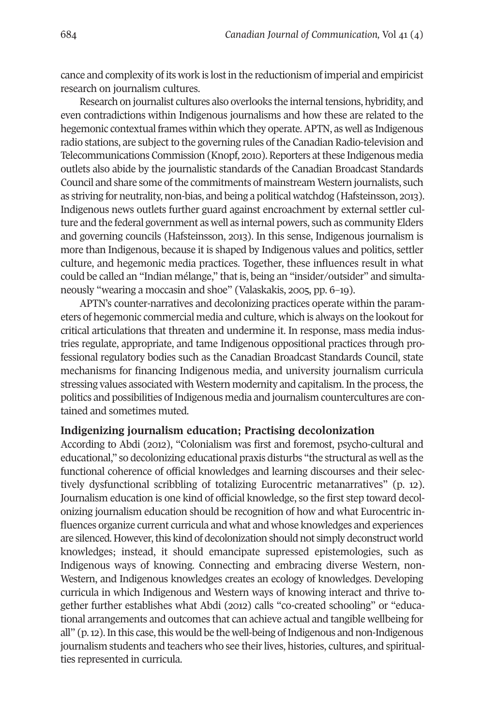cance and complexity of its work is lostin the reductionism of imperial and empiricist research on journalism cultures.

Research on journalist cultures also overlooks the internal tensions, hybridity, and even contradictions within Indigenous journalisms and how these are related to the hegemonic contextual frames within which they operate.APTN, as well as Indigenous radio stations, are subject to the governing rules of the Canadian Radio-television and Telecommunications Commission (Knopf, 2010).Reporters atthese Indigenous media outlets also abide by the journalistic standards of the Canadian Broadcast Standards Council and share some ofthe commitments of mainstream Western journalists, such as striving for neutrality, non-bias, and being a political watchdog (Hafsteinsson, 2013). Indigenous news outlets further guard against encroachment by external settler culture and the federal government as well as internal powers, such as community Elders and governing councils (Hafsteinsson, 2013). In this sense, Indigenous journalism is more than Indigenous, because it is shaped by Indigenous values and politics, settler culture, and hegemonic media practices. Together, these influences result in what could be called an "Indian mélange," that is, being an "insider/outsider" and simultaneously "wearing a moccasin and shoe" (Valaskakis, 2005, pp. 6–19).

APTN's counter-narratives and decolonizing practices operate within the parameters of hegemonic commercial media and culture, which is always on the lookoutfor critical articulations that threaten and undermine it. In response, mass media industries regulate, appropriate, and tame Indigenous oppositional practices through professional regulatory bodies such as the Canadian Broadcast Standards Council, state mechanisms for financing Indigenous media, and university journalism curricula stressing values associated with Western modernity and capitalism. In the process, the politics and possibilities of Indigenous media and journalism countercultures are contained and sometimes muted.

### **Indigenizing journalism education; Practising decolonization**

According to Abdi (2012), "Colonialism was first and foremost, psycho-cultural and educational," so decolonizing educational praxis disturbs "the structural as well as the functional coherence of official knowledges and learning discourses and their selectively dysfunctional scribbling of totalizing Eurocentric metanarratives" (p. 12). Journalism education is one kind of official knowledge, so the first step toward decolonizing journalism education should be recognition of how and what Eurocentric influences organize current curricula and what and whose knowledges and experiences are silenced. However,this kind of decolonization should not simply deconstruct world knowledges; instead, it should emancipate supressed epistemologies, such as Indigenous ways of knowing. Connecting and embracing diverse Western, non-Western, and Indigenous knowledges creates an ecology of knowledges. Developing curricula in which Indigenous and Western ways of knowing interact and thrive together further establishes what Abdi (2012) calls "co-created schooling" or "educational arrangements and outcomes that can achieve actual and tangible wellbeing for all"  $(p, 12)$ . In this case, this would be the well-being of Indigenous and non-Indigenous journalism students and teachers who see their lives, histories, cultures, and spiritualties represented in curricula.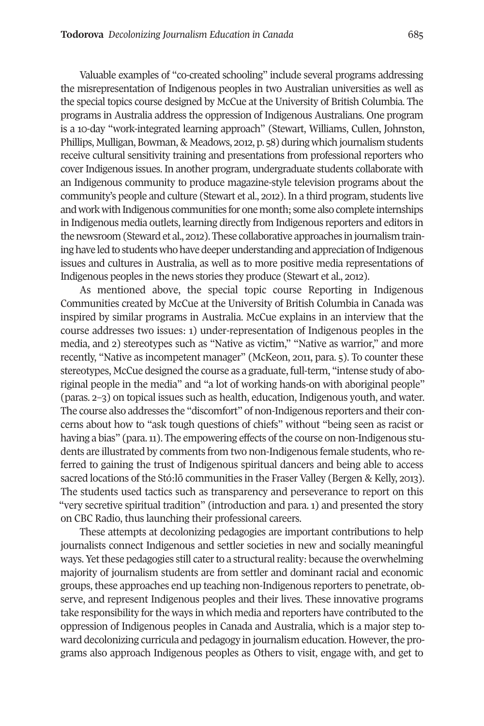Valuable examples of "co-created schooling" include several programs addressing the misrepresentation of Indigenous peoples in two Australian universities as well as the special topics course designed by McCue at the University of British Columbia. The programs in Australia address the oppression of Indigenous Australians. One program is a 10-day "work-integrated learning approach" (Stewart, Williams, Cullen, Johnston, Phillips, Mulligan, Bowman, & Meadows, 2012, p. 58) during which journalism students receive cultural sensitivity training and presentations from professional reporters who cover Indigenous issues. In another program, undergraduate students collaborate with an Indigenous community to produce magazine-style television programs about the community's people and culture (Stewart et al., 2012). In a third program, students live and work with Indigenous communities for one month; some also complete internships in Indigenous media outlets, learning directly from Indigenous reporters and editors in the newsroom (Steward et al., 2012). These collaborative approaches in journalism training have led to students who have deeper understanding and appreciation of Indigenous issues and cultures in Australia, as well as to more positive media representations of Indigenous peoples in the news stories they produce (Stewart et al., 2012).

As mentioned above, the special topic course Reporting in Indigenous Communities created by McCue at the University of British Columbia in Canada was inspired by similar programs in Australia. McCue explains in an interview that the course addresses two issues: 1) under-representation of Indigenous peoples in the media, and 2) stereotypes such as "Native as victim," "Native as warrior," and more recently, "Native as incompetent manager" (McKeon, 2011, para. 5). To counter these stereotypes, McCue designed the course as a graduate, full-term, "intense study of aboriginal people in the media" and "a lot of working hands-on with aboriginal people" (paras. 2–3) on topical issues such as health, education, Indigenous youth, and water. The course also addresses the "discomfort" of non-Indigenous reporters and their concerns about how to "ask tough questions of chiefs" without "being seen as racist or having a bias" (para. 11). The empowering effects of the course on non-Indigenous students are illustrated by comments from two non-Indigenous female students, who referred to gaining the trust of Indigenous spiritual dancers and being able to access sacred locations of the Stó:lõ communities in the Fraser Valley (Bergen & Kelly, 2013). The students used tactics such as transparency and perseverance to report on this "very secretive spiritual tradition" (introduction and para. 1) and presented the story on CBC Radio, thus launching their professional careers.

These attempts at decolonizing pedagogies are important contributions to help journalists connect Indigenous and settler societies in new and socially meaningful ways. Yet these pedagogies still cater to a structural reality: because the overwhelming majority of journalism students are from settler and dominant racial and economic groups, these approaches end up teaching non-Indigenous reporters to penetrate, observe, and represent Indigenous peoples and their lives. These innovative programs take responsibility forthe ways in which media and reporters have contributed to the oppression of Indigenous peoples in Canada and Australia, which is a major step toward decolonizing curricula and pedagogy in journalism education. However, the programs also approach Indigenous peoples as Others to visit, engage with, and get to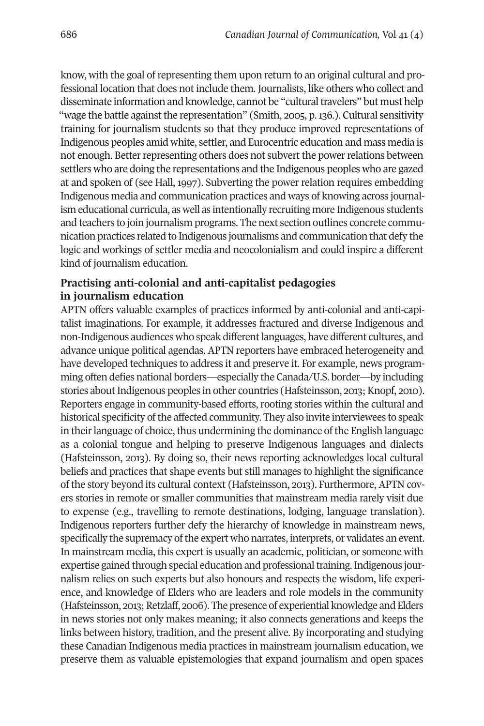know, with the goal of representing them upon return to an original cultural and professional location that does not include them. Journalists, like others who collect and disseminate information and knowledge, cannot be "cultural travelers" but must help "wage the battle against the representation" (Smith, 2005, p.136.). Cultural sensitivity training for journalism students so that they produce improved representations of Indigenous peoples amid white, settler, and Eurocentric education and mass media is not enough. Better representing others does not subvert the power relations between settlers who are doing the representations and the Indigenous peoples who are gazed at and spoken of (see Hall, 1997). Subverting the power relation requires embedding Indigenous media and communication practices and ways of knowing across journalism educational curricula, as well as intentionally recruiting more Indigenous students and teachers to join journalism programs. The next section outlines concrete communication practices related to Indigenous journalisms and communication that defy the logic and workings of settler media and neocolonialism and could inspire a different kind of journalism education.

## **Practising anti-colonial and anti-capitalist pedagogies in journalism education**

APTN offers valuable examples of practices informed by anti-colonial and anti-capitalist imaginations. For example, it addresses fractured and diverse Indigenous and non-Indigenous audiences who speak different languages, have different cultures, and advance unique political agendas. APTN reporters have embraced heterogeneity and have developed techniques to address it and preserve it. For example, news programming often defies national borders—especially the Canada/U.S. border—by including stories about Indigenous peoples in other countries (Hafsteinsson, 2013; Knopf, 2010). Reporters engage in community-based efforts, rooting stories within the cultural and historical specificity of the affected community. They also invite interviewees to speak in their language of choice, thus undermining the dominance of the English language as a colonial tongue and helping to preserve Indigenous languages and dialects (Hafsteinsson, 2013). By doing so, their news reporting acknowledges local cultural beliefs and practices that shape events but still manages to highlight the significance of the story beyond its cultural context (Hafsteinsson, 2013). Furthermore, APTN covers stories in remote or smaller communities that mainstream media rarely visit due to expense (e.g., travelling to remote destinations, lodging, language translation). Indigenous reporters further defy the hierarchy of knowledge in mainstream news, specifically the supremacy of the expert who narrates, interprets, or validates an event. In mainstream media, this expert is usually an academic, politician, or someone with expertise gained through special education and professional training. Indigenous journalism relies on such experts but also honours and respects the wisdom, life experience, and knowledge of Elders who are leaders and role models in the community (Hafsteinsson, 2013; Retzlaff, 2006). The presence of experiential knowledge and Elders in news stories not only makes meaning; it also connects generations and keeps the links between history, tradition, and the present alive. By incorporating and studying these Canadian Indigenous media practices in mainstream journalism education, we preserve them as valuable epistemologies that expand journalism and open spaces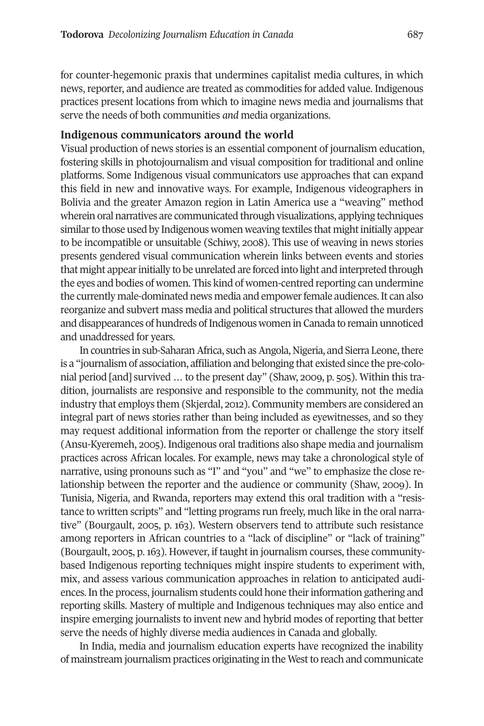for counter-hegemonic praxis that undermines capitalist media cultures, in which news, reporter, and audience are treated as commodities for added value. Indigenous practices present locations from which to imagine news media and journalisms that serve the needs of both communities *and* media organizations.

#### **Indigenous communicators around the world**

Visual production of news stories is an essential component of journalism education, fostering skills in photojournalism and visual composition for traditional and online platforms. Some Indigenous visual communicators use approaches that can expand this field in new and innovative ways. For example, Indigenous videographers in Bolivia and the greater Amazon region in Latin America use a "weaving" method wherein oral narratives are communicated through visualizations, applying techniques similar to those used by Indigenous women weaving textiles that might initially appear to be incompatible or unsuitable (Schiwy, 2008). This use of weaving in news stories presents gendered visual communication wherein links between events and stories that might appearinitially to be unrelated are forced into light and interpreted through the eyes and bodies of women. This kind of women-centred reporting can undermine the currently male-dominated news media and empower female audiences. It can also reorganize and subvert mass media and political structures that allowed the murders and disappearances of hundreds of Indigenous women in Canada to remain unnoticed and unaddressed for years.

In countries in sub-Saharan Africa, such as Angola, Nigeria, and Sierra Leone, there is a "journalism of association, affiliation and belonging that existed since the pre-colonial period [and] survived … to the present day" (Shaw, 2009, p. 505). Within this tradition, journalists are responsive and responsible to the community, not the media industry that employs them (Skjerdal, 2012). Community members are considered an integral part of news stories rather than being included as eyewitnesses, and so they may request additional information from the reporter or challenge the story itself (Ansu-Kyeremeh, 2005). Indigenous oral traditions also shape media and journalism practices across African locales. For example, news may take a chronological style of narrative, using pronouns such as "I" and "you" and "we" to emphasize the close relationship between the reporter and the audience or community (Shaw, 2009). In Tunisia, Nigeria, and Rwanda, reporters may extend this oral tradition with a "resistance to written scripts" and "letting programs run freely, much like in the oral narrative" (Bourgault, 2005, p. 163). Western observers tend to attribute such resistance among reporters in African countries to a "lack of discipline" or "lack of training" (Bourgault, 2005, p.163). However, if taught in journalism courses, these communitybased Indigenous reporting techniques might inspire students to experiment with, mix, and assess various communication approaches in relation to anticipated audiences. In the process, journalism students could hone their information gathering and reporting skills. Mastery of multiple and Indigenous techniques may also entice and inspire emerging journalists to invent new and hybrid modes of reporting that better serve the needs of highly diverse media audiences in Canada and globally.

In India, media and journalism education experts have recognized the inability of mainstream journalism practices originating in the West to reach and communicate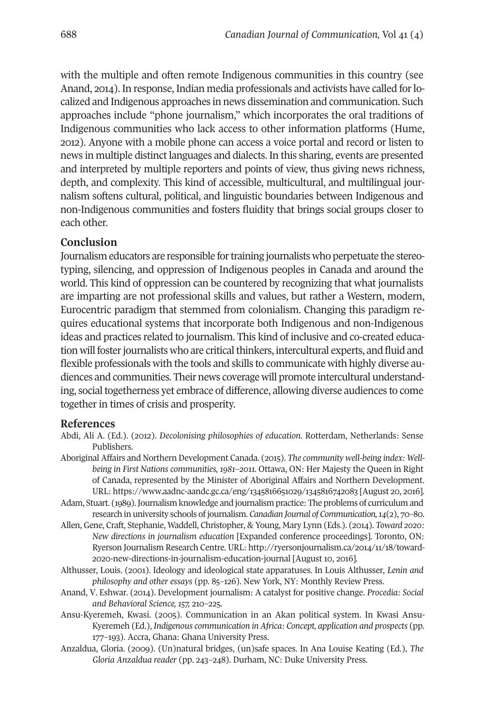with the multiple and often remote Indigenous communities in this country (see Anand, 2014). In response, Indian media professionals and activists have called forlocalized and Indigenous approaches in news dissemination and communication. Such approaches include "phone journalism," which incorporates the oral traditions of Indigenous communities who lack access to other information platforms (Hume, 2012). Anyone with a mobile phone can access a voice portal and record or listen to news in multiple distinct languages and dialects. In this sharing, events are presented and interpreted by multiple reporters and points of view, thus giving news richness, depth, and complexity. This kind of accessible, multicultural, and multilingual journalism softens cultural, political, and linguistic boundaries between Indigenous and non-Indigenous communities and fosters fluidity that brings social groups closer to each other.

## **Conclusion**

Journalism educators are responsible fortraining journalists who perpetuate the stereotyping, silencing, and oppression of Indigenous peoples in Canada and around the world. This kind of oppression can be countered by recognizing that what journalists are imparting are not professional skills and values, but rather a Western, modern, Eurocentric paradigm that stemmed from colonialism. Changing this paradigm requires educational systems that incorporate both Indigenous and non-Indigenous ideas and practices related to journalism. This kind of inclusive and co-created education will foster journalists who are critical thinkers, intercultural experts, and fluid and flexible professionals with the tools and skills to communicate with highly diverse audiences and communities. Their news coverage will promote intercultural understanding, social togetherness yet embrace of difference, allowing diverse audiences to come together in times of crisis and prosperity.

#### **References**

- Abdi, Ali A. (Ed.). (2012). *Decolonising philosophies of education*. Rotterdam, Netherlands: Sense Publishers.
- Aboriginal Affairs and Northern Development Canada. (2015). *The community well-being index: Wellbeing in First Nations communities, 1981–2011.* Ottawa, ON: Her Majesty the Queen in Right of Canada, represented by the Minister of Aboriginal Affairs and Northern Development. URL: <https://www.aadnc-aandc.gc.ca/eng/1345816651029/1345816742083> [August 20, 2016].
- Adam, Stuart. (1989).Journalism knowledge and journalism practice: The problems of curriculum and research in university schools of journalism*. Canadian Journal of Communication,14*(2), 70–80.
- Allen, Gene, Craft, Stephanie, Waddell, Christopher, & Young, Mary Lynn (Eds.). (2014). *Toward 2020: New directions in journalism education* [Expanded conference proceedings]. Toronto, ON: Ryerson Journalism Research Centre. URL: [http://ryersonjournalism.ca/2014/11/18/toward-](http://ryersonjournalism.ca/2014/11/18/toward-2020-new-directions-in-journalism-education-journal)[2020-new-directions-in-journalism-education-journal](http://ryersonjournalism.ca/2014/11/18/toward-2020-new-directions-in-journalism-education-journal) [August 10, 2016].
- Althusser, Louis. (2001). Ideology and ideological state apparatuses. In Louis Althusser, *Lenin and philosophy and other essays* (pp. 85–126). New York, NY: Monthly Review Press.
- Anand, V. Eshwar. (2014). Development journalism: A catalyst for positive change. *Procedia: Social and Behavioral Science, 157,* 210–225.
- Ansu-Kyeremeh, Kwasi. (2005). Communication in an Akan political system. In Kwasi Ansu-Kyeremeh (Ed.), *Indigenous communication in Africa: Concept, application and prospects* (pp. 177–193). Accra, Ghana: Ghana University Press.
- Anzaldua, Gloria. (2009). (Un)natural bridges, (un)safe spaces. In Ana Louise Keating (Ed.), *The Gloria Anzaldua reader* (pp. 243–248). Durham, NC: Duke University Press.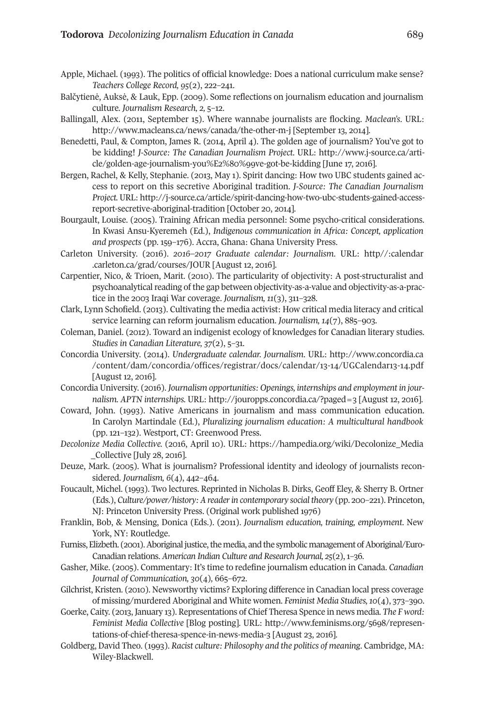- Apple, Michael. (1993). The politics of official knowledge: Does a national curriculum make sense? *Teachers College Record, 95*(2), 222–241.
- Balčytienė, Auksė, & Lauk, Epp. (2009). Some reflections on journalism education and journalism culture*. Journalism Research, 2,* 5–12.
- Ballingall, Alex. (2011, September 15). Where wannabe journalists are flocking. *Maclean's*. URL: <http://www.macleans.ca/news/canada/the-other-m-j> [September 13, 2014].
- Benedetti, Paul, & Compton, James R. (2014, April 4). The golden age of journalism? You've got to be kidding! *J-Source: The Canadian Journalism Project*. URL: [http://www.j-source.ca/arti](http://www.j-source.ca/article/golden-age-journalism-you%E2%80%99ve-got-be-kidding)[cle/golden-age-journalism-you%E2%80%99ve-got-be-kidding](http://www.j-source.ca/article/golden-age-journalism-you%E2%80%99ve-got-be-kidding) [June 17, 2016].
- Bergen, Rachel, & Kelly, Stephanie. (2013, May 1). Spirit dancing: How two UBC students gained access to report on this secretive Aboriginal tradition. *J-Source: The Canadian Journalism Project.* URL: [http://j-source.ca/article/spirit-dancing-how-two-ubc-students-gained-access](http://j-source.ca/article/spirit-dancing-how-two-ubc-students-gained-access-report-secretive-aboriginal-tradition)[report-secretive-aboriginal-tradition](http://j-source.ca/article/spirit-dancing-how-two-ubc-students-gained-access-report-secretive-aboriginal-tradition) [October 20, 2014].
- Bourgault, Louise. (2005). Training African media personnel: Some psycho-critical considerations. In Kwasi Ansu-Kyeremeh (Ed.), *Indigenous communication in Africa: Concept, application and prospects* (pp. 159–176). Accra, Ghana: Ghana University Press.
- Carleton University. (2016). *2016–2017 Graduate calendar: Journalism*. URL: [http//:calendar](http//:calendar.carleton.ca/grad/courses/JOUR) [.carleton.ca/grad/courses/JOUR](http//:calendar.carleton.ca/grad/courses/JOUR) [August 12, 2016].
- Carpentier, Nico, & Trioen, Marit. (2010). The particularity of objectivity: A post-structuralist and psychoanalytical reading of the gap between objectivity-as-a-value and objectivity-as-a-practice in the 2003 Iraqi War coverage. *Journalism, 11*(3), 311–328.
- Clark, Lynn Schofield. (2013). Cultivating the media activist: How critical media literacy and critical service learning can reform journalism education. *Journalism, 14*(7), 885–903.
- Coleman, Daniel. (2012). Toward an indigenist ecology of knowledges for Canadian literary studies. *Studies in Canadian Literature, 37*(2), 5–31.
- Concordia University. (2014). *Undergraduate calendar. Journalism*. URL: [http://www.concordia.ca](http://www.concordia.ca/content/dam/concordia/offices/registrar/docs/calendar/13-14/UGCalendar13-14.pdf) [/content/dam/concordia/offices/registrar/docs/calendar/13-14/UGCalendar13-14.pdf](http://www.concordia.ca/content/dam/concordia/offices/registrar/docs/calendar/13-14/UGCalendar13-14.pdf) [August 12, 2016].
- Concordia University. (2016). *Journalism opportunities: Openings, internships and employment in journalism. APTN internships.* URL: <http://jouropps.concordia.ca/?paged=3> [August 12, 2016].
- Coward, John. (1993). Native Americans in journalism and mass communication education. In Carolyn Martindale (Ed.), *Pluralizing journalism education: A multicultural handbook* (pp. 121–132). Westport, CT: Greenwood Press.
- *Decolonize Media Collective.* (2016, April 10). URL: [https://hampedia.org/wiki/Decolonize\\_Media](https://hampedia.org/wiki/Decolonize_Media_Collective) [\\_Collective](https://hampedia.org/wiki/Decolonize_Media_Collective) [July 28, 2016].
- Deuze, Mark. (2005). What is journalism? Professional identity and ideology of journalists reconsidered. *Journalism, 6*(4), 442–464.
- Foucault, Michel. (1993). Two lectures. Reprinted in Nicholas B. Dirks, Geoff Eley, & Sherry B. Ortner (Eds.), *Culture/power/history: A readerin contemporary social theory* (pp. 200–221). Princeton, NJ: Princeton University Press. (Original work published 1976)
- Franklin, Bob, & Mensing, Donica (Eds.). (2011). *Journalism education, training, employment*. New York, NY: Routledge.
- Furniss, Elizbeth. (2001). Aboriginal justice, the media, and the symbolic management of Aboriginal/Euro-Canadian relations. *American Indian Culture and Research Journal, 25*(2),1–36.
- Gasher, Mike. (2005). Commentary: It's time to redefine journalism education in Canada. *Canadian Journal of Communication, 30*(4)*,* 665–672.
- Gilchrist, Kristen. (2010). Newsworthy victims? Exploring difference in Canadian local press coverage of missing/murdered Aboriginal and White women. *Feminist Media Studies,10*(4), 373–390.
- Goerke, Caity. (2013, January 13). Representations of Chief Theresa Spence in news media. *The F word: Feminist Media Collective* [Blog posting]. URL: [http://www.feminisms.org/5698/represen](http://www.feminisms.org/5698/representations-of-chief-theresa-spence-in-news-media-3)[tations-of-chief-theresa-spence-in-news-media-3](http://www.feminisms.org/5698/representations-of-chief-theresa-spence-in-news-media-3) [August 23, 2016].
- Goldberg, David Theo. (1993). *Racist culture: Philosophy and the politics of meaning*. Cambridge, MA: Wiley-Blackwell.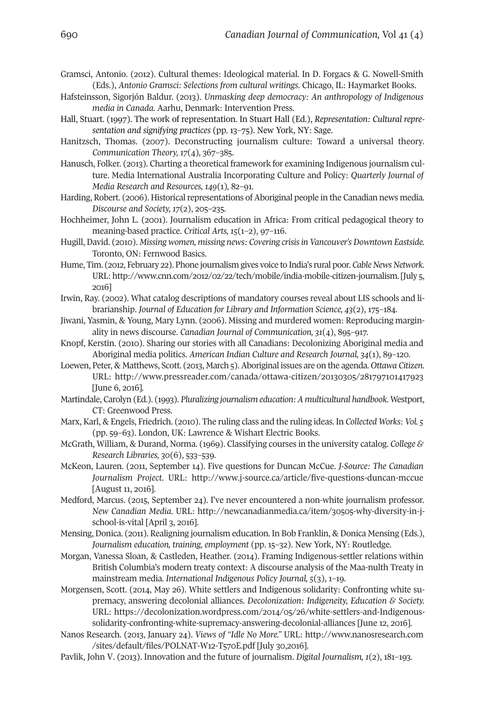- Gramsci, Antonio. (2012). Cultural themes: Ideological material. In D. Forgacs & G. Nowell-Smith (Eds.), *Antonio Gramsci: Selections from cultural writings*. Chicago, IL: Haymarket Books.
- Hafsteinsson, Sigorjón Baldur. (2013). *Unmasking deep democracy: An anthropology of Indigenous media in Canada*. Aarhu, Denmark: Intervention Press.
- Hall, Stuart. (1997). The work of representation. In Stuart Hall (Ed.), *Representation: Cultural representation and signifying practices* (pp. 13–75). New York, NY: Sage.
- Hanitzsch, Thomas. (2007). Deconstructing journalism culture: Toward a universal theory. *Communication Theory, 17*(4)*,* 367–385.
- Hanusch, Folker. (2013). Charting a theoretical framework for examining Indigenous journalism culture. Media International Australia Incorporating Culture and Policy: *Quarterly Journal of Media Research and Resources, 149*(1)*,* 82–91.
- Harding, Robert. (2006). Historical representations of Aboriginal people in the Canadian news media. *Discourse and Society, 17*(2), 205–235.
- Hochheimer, John L. (2001). Journalism education in Africa: From critical pedagogical theory to meaning-based practice. *Critical Arts, 15*(1–2), 97–116.
- Hugill, David. (2010). *Missing women, missing news: Covering crisisin Vancouver's Downtown Eastside.* Toronto, ON: Fernwood Basics.
- Hume, Tim. (2012, February 22). Phone journalism gives voice to India's rural poor. *Cable News Network*. URL: [http://www.cnn.com/2012/02/22/tech/mobile/india-mobile-citizen-journalism.](http://www.cnn.com/2012/02/22/tech/mobile/india-mobile-citizen-journalism)[July 5, 2016]
- Irwin, Ray. (2002). What catalog descriptions of mandatory courses reveal about LIS schools and librarianship. *Journal of Education for Library and Information Science, 43*(2), 175–184.
- Jiwani, Yasmin, & Young, Mary Lynn. (2006). Missing and murdered women: Reproducing marginality in news discourse. *Canadian Journal of Communication, 31*(4), 895–917.
- Knopf, Kerstin. (2010). Sharing our stories with all Canadians: Decolonizing Aboriginal media and Aboriginal media politics. *American Indian Culture and Research Journal, 34*(1), 89–120.
- Loewen, Peter, & Matthews, Scott. (2013, March 5).Aboriginal issues are on the agenda. *Ottawa Citizen*. URL: <http://www.pressreader.com/canada/ottawa-citizen/20130305/281797101417923> [June 6, 2016].
- Martindale, Carolyn (Ed.). (1993). *Pluralizing journalism education: A multicultural handbook*. Westport, CT: Greenwood Press.
- Marx, Karl, & Engels, Friedrich. (2010). The ruling class and the ruling ideas. In *Collected Works*: *Vol. 5* (pp. 59–63). London, UK: Lawrence & Wishart Electric Books.
- McGrath, William, & Durand, Norma. (1969). Classifying courses in the university catalog. *College & Research Libraries, 30*(6), 533–539.
- McKeon, Lauren. (2011, September 14). Five questions for Duncan McCue. *J-Source: The Canadian Journalism Project*. URL: <http://www.j-source.ca/article/five-questions-duncan-mccue> [August 11, 2016].
- Medford, Marcus. (2015, September 24). I've never encountered a non-white journalism professor. *New Canadian Media*. URL: [http://newcanadianmedia.ca/item/30505-why-diversity-in-j](http://newcanadianmedia.ca/item/30505-why-diversity-in-j-school-is-vital)[school-is-vital](http://newcanadianmedia.ca/item/30505-why-diversity-in-j-school-is-vital) [April 3, 2016].
- Mensing, Donica. (2011). Realigning journalism education. In Bob Franklin, & Donica Mensing (Eds.), *Journalism education, training, employment* (pp. 15–32). New York, NY: Routledge.
- Morgan, Vanessa Sloan, & Castleden, Heather. (2014). Framing Indigenous-settler relations within British Columbia's modern treaty context: A discourse analysis of the Maa-nulth Treaty in mainstream media*. International Indigenous Policy Journal, 5*(3), 1–19.
- Morgensen, Scott. (2014, May 26). White settlers and Indigenous solidarity: Confronting white supremacy, answering decolonial alliances. *Decolonization: Indigeneity, Education & Society.* URL: [https://decolonization.wordpress.com/2014/05/26/white-settlers-and-Indigenous](https://decolonization.wordpress.com/2014/05/26/white-settlers-and-Indigenous-solidarity-confronting-white-supremacy-answering-decolonial-alliances)[solidarity-confronting-white-supremacy-answering-decolonial-alliances](https://decolonization.wordpress.com/2014/05/26/white-settlers-and-Indigenous-solidarity-confronting-white-supremacy-answering-decolonial-alliances) [June 12, 2016].
- Nanos Research. (2013, January 24). *Views of "Idle No More."* URL: [http://www.nanosresearch.com](http://www.nanosresearch.com/sites/default/files/POLNAT-W12-T570E.pdf) [/sites/default/files/POLNAT-W12-T570E.pdf](http://www.nanosresearch.com/sites/default/files/POLNAT-W12-T570E.pdf) [July 30,2016].
- Pavlik, John V. (2013). Innovation and the future of journalism. *Digital Journalism, 1*(2), 181–193.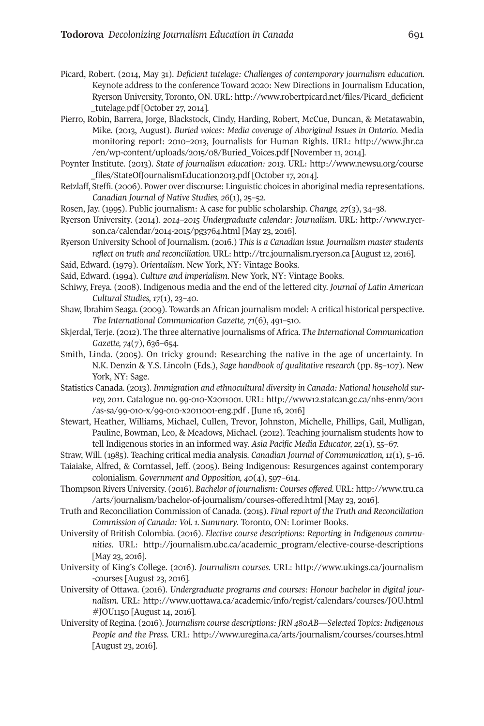- Picard, Robert. (2014, May 31). *Deficient tutelage: Challenges of contemporary journalism education.* Keynote address to the conference Toward 2020: New Directions in Journalism Education, Ryerson University, Toronto, ON. URL: [http://www.robertpicard.net/files/Picard\\_deficient](http://www.robertpicard.net/files/Picard_deficient_tutelage.pdf) [\\_tutelage.pdf](http://www.robertpicard.net/files/Picard_deficient_tutelage.pdf) [October 27, 2014].
- Pierro, Robin, Barrera, Jorge, Blackstock, Cindy, Harding, Robert, McCue, Duncan, & Metatawabin, Mike. (2013, August). *Buried voices: Media coverage of Aboriginal Issues in Ontario*. Media monitoring report: 2010–2013, Journalists for Human Rights. URL: [http://www.jhr.ca](http://www.jhr.ca/en/wp-content/uploads/2015/08/Buried_Voices.pdf) [/en/wp-content/uploads/2015/08/Buried\\_Voices.pdf](http://www.jhr.ca/en/wp-content/uploads/2015/08/Buried_Voices.pdf) [November 11, 2014].
- Poynter Institute. (2013). *State of journalism education: 2013.* URL: [http://www.newsu.org/course](http://www.newsu.org/course_files/StateOfJournalismEducation2013.pdf) [\\_files/StateOfJournalismEducation2013.pdf](http://www.newsu.org/course_files/StateOfJournalismEducation2013.pdf) [October 17, 2014].
- Retzlaff, Steffi. (2006). Power over discourse: Linguistic choices in aboriginal media representations. *Canadian Journal of Native Studies, 26*(1), 25–52.
- Rosen, Jay. (1995). Public journalism: A case for public scholarship*. Change, 27*(3), 34–38.
- Ryerson University. (2014). *2014–2015 Undergraduate calendar: Journalism.* URL: [http://www.ryer](http://www.ryerson.ca/calendar/2014-2015/pg3764.html)[son.ca/calendar/2014-2015/pg3764.html](http://www.ryerson.ca/calendar/2014-2015/pg3764.html) [May 23, 2016].
- Ryerson University School of Journalism. (2016.) *This is a Canadian issue. Journalism master students reflect on truth and reconciliation.* URL: <http://trc.journalism.ryerson.ca> [August 12, 2016].
- Said, Edward. (1979). *Orientalism*. New York, NY: Vintage Books.
- Said, Edward. (1994). *Culture and imperialism*. New York, NY: Vintage Books.
- Schiwy, Freya. (2008). Indigenous media and the end of the lettered city. *Journal of Latin American Cultural Studies, 17*(1), 23–40.
- Shaw, Ibrahim Seaga. (2009). Towards an African journalism model: A critical historical perspective. *The International Communication Gazette, 71*(6), 491–510.
- Skjerdal, Terje. (2012). The three alternative journalisms of Africa. *The International Communication Gazette, 74*(7), 636–654.
- Smith, Linda. (2005). On tricky ground: Researching the native in the age of uncertainty. In N.K. Denzin & Y.S. Lincoln (Eds.), *Sage handbook of qualitative research* (pp. 85–107). New York, NY: Sage.
- Statistics Canada. (2013). *Immigration and ethnocultural diversity in Canada: National household survey, 2011.* Catalogue no. 99-010-X2011001. URL: [http://www12.statcan.gc.ca/nhs-enm/2011](http://www12.statcan.gc.ca/nhs-enm/2011/as-sa/99-010-x/99-010-x2011001-eng.pdf) [/as-sa/99-010-x/99-010-x2011001-eng.pdf](http://www12.statcan.gc.ca/nhs-enm/2011/as-sa/99-010-x/99-010-x2011001-eng.pdf) . [June 16, 2016]
- Stewart, Heather, Williams, Michael, Cullen, Trevor, Johnston, Michelle, Phillips, Gail, Mulligan, Pauline, Bowman, Leo, & Meadows, Michael. (2012). Teaching journalism students how to tell Indigenous stories in an informed way. *Asia Pacific Media Educator, 22*(1), 55–67.
- Straw, Will. (1985). Teaching critical media analysis. *Canadian Journal of Communication, 11*(1), 5–16.
- Taiaiake, Alfred, & Corntassel, Jeff. (2005). Being Indigenous: Resurgences against contemporary colonialism. *Government and Opposition, 40*(4), 597–614.
- Thompson Rivers University. (2016). *Bachelor of journalism: Courses offered.* URL: [http://www.tru.ca](http://www.tru.ca/arts/journalism/bachelor-of-journalism/courses-offered.html) [/arts/journalism/bachelor-of-journalism/courses-offered.html](http://www.tru.ca/arts/journalism/bachelor-of-journalism/courses-offered.html) [May 23, 2016].
- Truth and Reconciliation Commission of Canada. (2015). *Final report of the Truth and Reconciliation Commission of Canada: Vol. 1. Summary*. Toronto, ON: Lorimer Books.
- University of British Colombia. (2016). *Elective course descriptions: Reporting in Indigenous communities.* URL: [http://journalism.ubc.ca/academic\\_program/elective-course-descriptions](http://journalism.ubc.ca/academic_program/elective-course-descriptions) [May 23, 2016].
- University of King's College. (2016). *Journalism courses.* URL: [http://www.ukings.ca/journalism](http://www.ukings.ca/journalism-courses) [-courses](http://www.ukings.ca/journalism-courses) [August 23, 2016].
- University of Ottawa. (2016). *Undergraduate programs and courses: Honour bachelor in digital journalism.* URL: [http://www.uottawa.ca/academic/info/regist/calendars/courses/JOU.html](http://www.uottawa.ca/academic/info/regist/calendars/courses/JOU.html#JOU1150) [#JOU1150](http://www.uottawa.ca/academic/info/regist/calendars/courses/JOU.html#JOU1150) [August 14, 2016].
- University of Regina. (2016). *Journalism course descriptions: JRN 480AB—Selected Topics: Indigenous People and the Press.* URL: <http://www.uregina.ca/arts/journalism/courses/courses.html> [August 23, 2016].